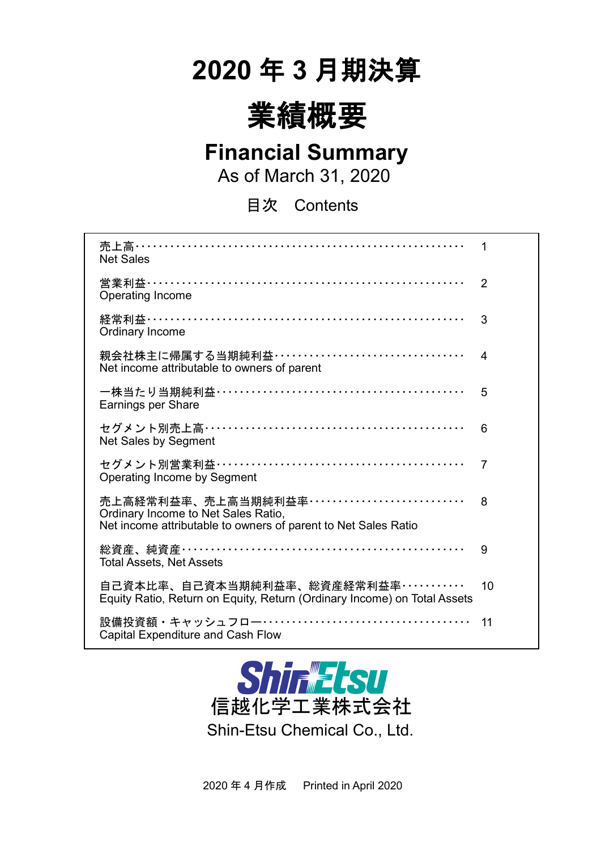# **2020** 年 **3** 月期決算



## **Financial Summary**

As of March 31, 2020

目次 Contents

| 売上高…………………………………………………………<br><b>Net Sales</b>                                                                                          | 1              |
|----------------------------------------------------------------------------------------------------------------------------------------|----------------|
| 営業利益…………………………………………………………<br><b>Operating Income</b>                                                                                  | $\overline{2}$ |
| Ordinary Income                                                                                                                        | 3              |
| 親会社株主に帰属する当期純利益・・・・・・・・・・・・・・・・・・・・・・・・・・・・・・・・・・<br>Net income attributable to owners of parent                                       | 4              |
| Earnings per Share                                                                                                                     | 5              |
| セグメント別売上高……………………………………………<br>Net Sales by Segment                                                                                     | 6              |
| セグメント別営業利益……………………………………………<br>Operating Income by Segment                                                                             | 7              |
| 売上高経常利益率、売上高当期純利益率 …………………………<br>Ordinary Income to Net Sales Ratio,<br>Net income attributable to owners of parent to Net Sales Ratio | 8              |
| 総資産、純資産…………………………………………………<br><b>Total Assets, Net Assets</b>                                                                          | 9              |
| 自己資本比率、自己資本当期純利益率、総資産経常利益率・・・・・・・・・・・<br>Equity Ratio, Return on Equity, Return (Ordinary Income) on Total Assets                      | 10             |
| 設備投資額・キャッシュフロー……………………………………<br><b>Capital Expenditure and Cash Flow</b>                                                               | 11             |



2020 年 4 月作成 Printed in April 2020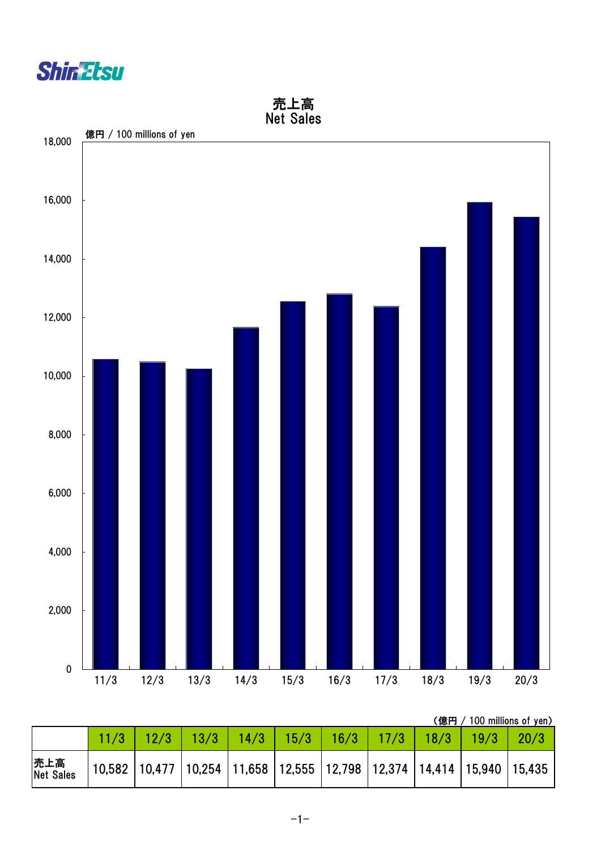



(億円 / 100 millions of yen)

|                   |  | 13/3 | 14/3                                                                                    | 15/3 | 16/3 | 17/3 | $\vert$ 18/3 | 19/3 | 20/3 |
|-------------------|--|------|-----------------------------------------------------------------------------------------|------|------|------|--------------|------|------|
| 売上高<br> Net Sales |  |      | 10,582   10,477   10,254   11,658   12,555   12,798   12,374   14,414   15,940   15,435 |      |      |      |              |      |      |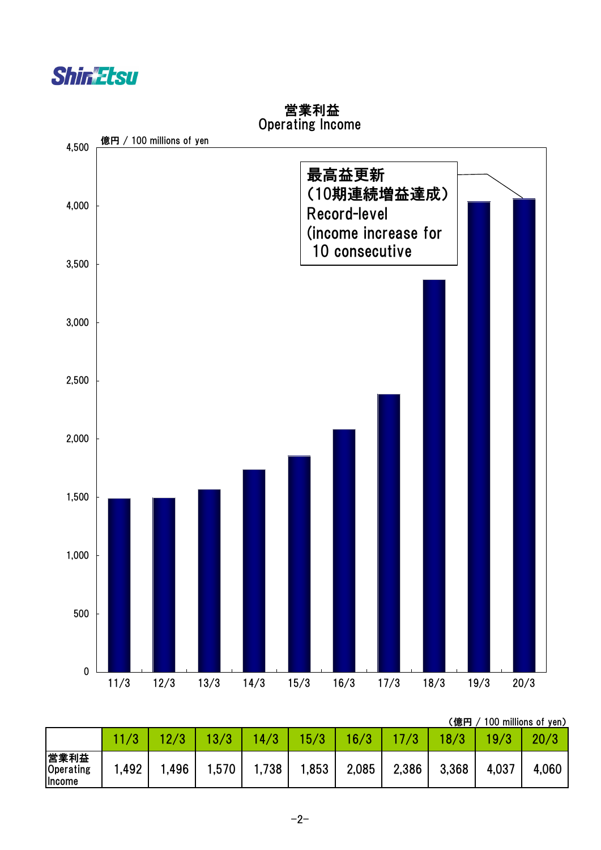



### 営業利益 Operating Income

(億円 / 100 millions of yen)

|                             |      |      |       |       |       |       |       | . <i>.</i> |       |       |
|-----------------------------|------|------|-------|-------|-------|-------|-------|------------|-------|-------|
|                             |      |      | 13/3  | 14/3  | 15/3  | 16/3  |       |            | 19/3  | 20/3  |
| 営業利益<br>Operating<br>Income | ,492 | .496 | 1,570 | 1,738 | 1,853 | 2,085 | 2,386 | 3,368      | 4,037 | 4,060 |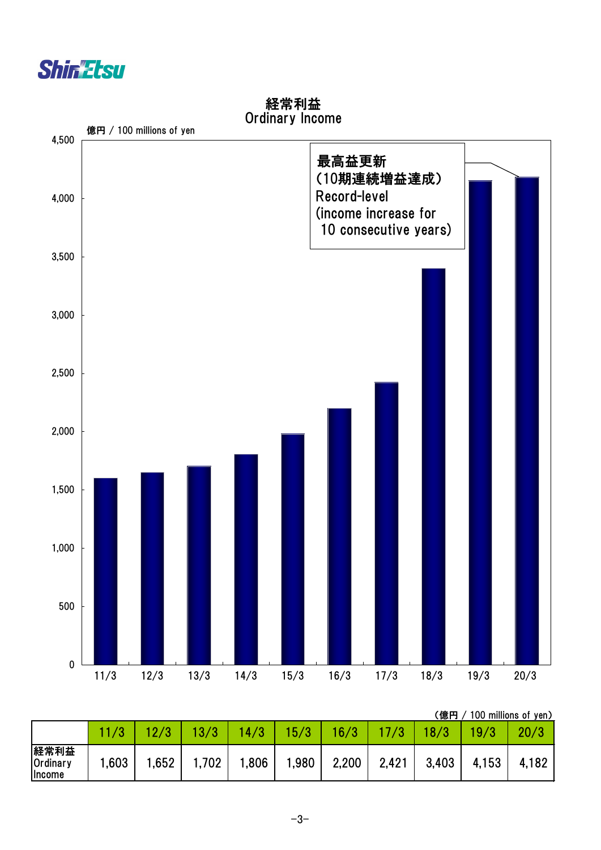



経常利益 Ordinary Income

(億円 / 100 millions of yen)

|                                   |       |      |       |       |       |       |       | , <i>.</i> |       |       |
|-----------------------------------|-------|------|-------|-------|-------|-------|-------|------------|-------|-------|
|                                   |       |      | 13/3  | 14/3  | 15/3  | 16/3  |       | 18/3       | 19/3  | 20/3  |
| 経常利益<br><b>Ordinary</b><br>Income | .,603 | ,652 | 1,702 | 1,806 | 1,980 | 2,200 | 2,421 | 3,403      | 4,153 | 4,182 |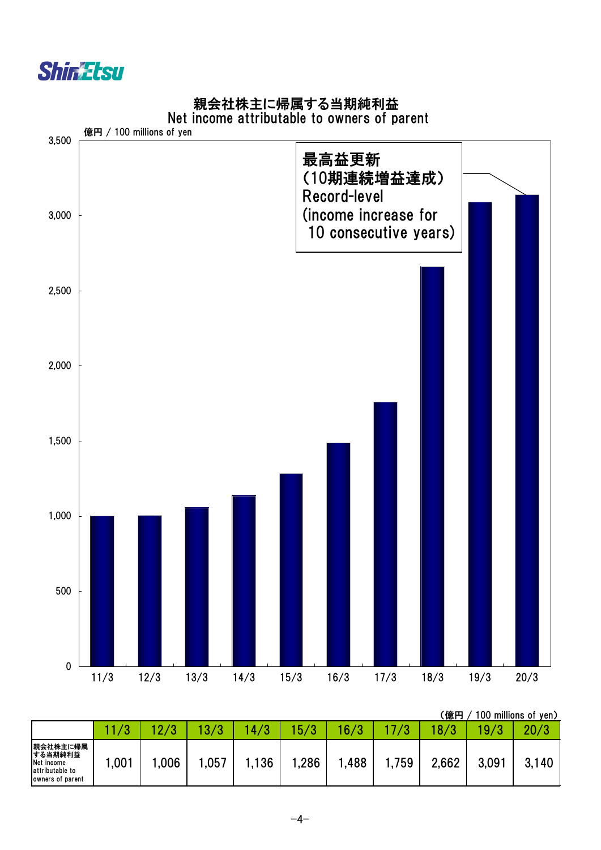

## 親会社株主に帰属する当期純利益

#### Net income attributable to owners of parent



|                                                                          |      |      |              |      |      |       |                 | .億円    |       | 100 millions of yen) |
|--------------------------------------------------------------------------|------|------|--------------|------|------|-------|-----------------|--------|-------|----------------------|
|                                                                          |      |      | $\sqrt{3}/2$ | 4/3  | 5/3  | 16/3  | $\overline{10}$ | 18 / 3 | 19/3  | 20/3                 |
| 親会社株主に帰属<br>する当期純利益<br>Net income<br>attributable to<br>owners of parent | ,001 | ,006 | ,057         | .136 | ,286 | 1,488 | .759            | 2,662  | 3,091 | 3,140                |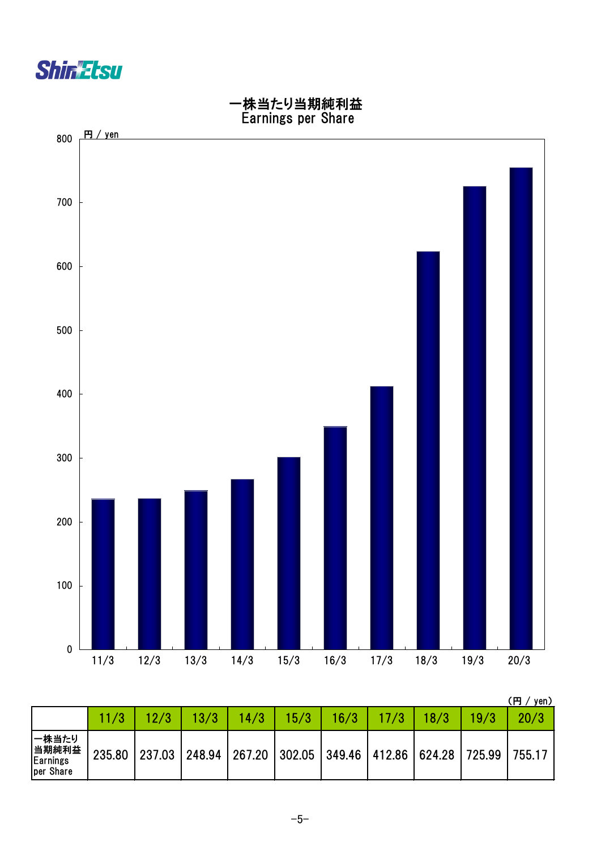



|                                                 |        |      |                                                                       |      |      |      |      |      |      | Ή<br>yen) |
|-------------------------------------------------|--------|------|-----------------------------------------------------------------------|------|------|------|------|------|------|-----------|
|                                                 | 11/3   | 12/3 | 13/3                                                                  | 14/3 | 15/3 | 16/3 | 17/3 | 18/3 | 19/3 | 20/3      |
| 一株当たり<br> 当期純利益<br><b>Earnings</b><br>per Share | 235.80 |      | 237.03   248.94   267.20   302.05   349.46   412.86   624.28   725.99 |      |      |      |      |      |      | 755.17    |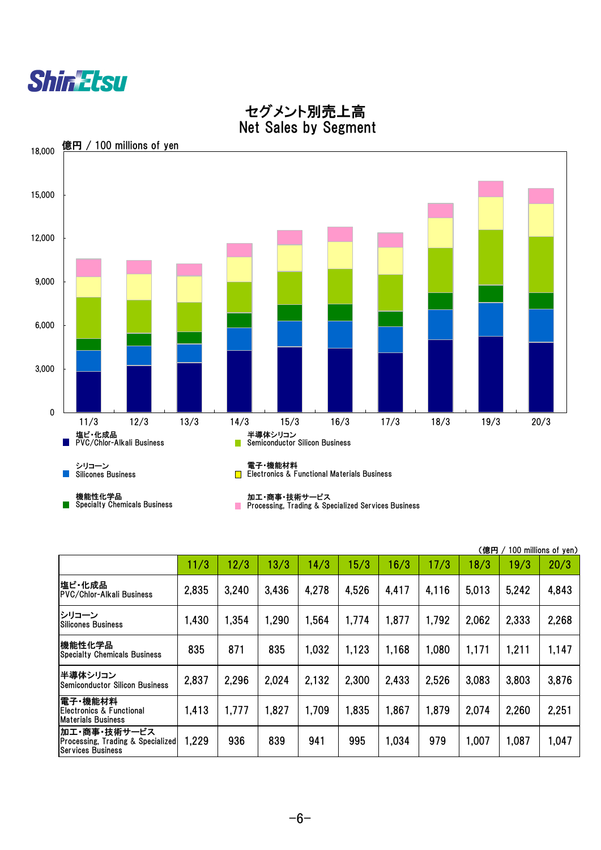-6-

|                                                                                          |       | (億円   | 100 millions of yen) |       |       |       |       |       |       |       |
|------------------------------------------------------------------------------------------|-------|-------|----------------------|-------|-------|-------|-------|-------|-------|-------|
|                                                                                          | 11/3  | 12/3  | 13/3                 | 14/3  | 15/3  | 16/3  | 17/3  | 18/3  | 19/3  | 20/3  |
| 塩ビ・化成品<br>PVC/Chlor-Alkali Business                                                      | 2,835 | 3,240 | 3,436                | 4,278 | 4,526 | 4,417 | 4,116 | 5,013 | 5,242 | 4,843 |
| シリコーン<br>Silicones Business                                                              | 1,430 | 1,354 | 1,290                | 1,564 | 1,774 | 1,877 | 1.792 | 2,062 | 2,333 | 2,268 |
| 機能性化学品<br><b>Specialty Chemicals Business</b>                                            | 835   | 871   | 835                  | 1,032 | 1,123 | 1,168 | 1,080 | 1,171 | 1,211 | 1,147 |
| 半導体シリコン<br> Semiconductor Silicon Business                                               | 2,837 | 2,296 | 2,024                | 2,132 | 2,300 | 2,433 | 2,526 | 3,083 | 3,803 | 3,876 |
| 電子・機能材料<br> Electronics & Functional<br><b>Materials Business</b>                        | 1,413 | 1,777 | 1,827                | 1,709 | 1,835 | 1,867 | 1,879 | 2,074 | 2,260 | 2,251 |
| 加工・商事・技術サービス<br><b>Processing, Trading &amp; Specialized</b><br><b>Services Business</b> | 1,229 | 936   | 839                  | 941   | 995   | 1,034 | 979   | 1,007 | 1,087 | 1,047 |



# セグメント別売上高 Net Sales by Segment

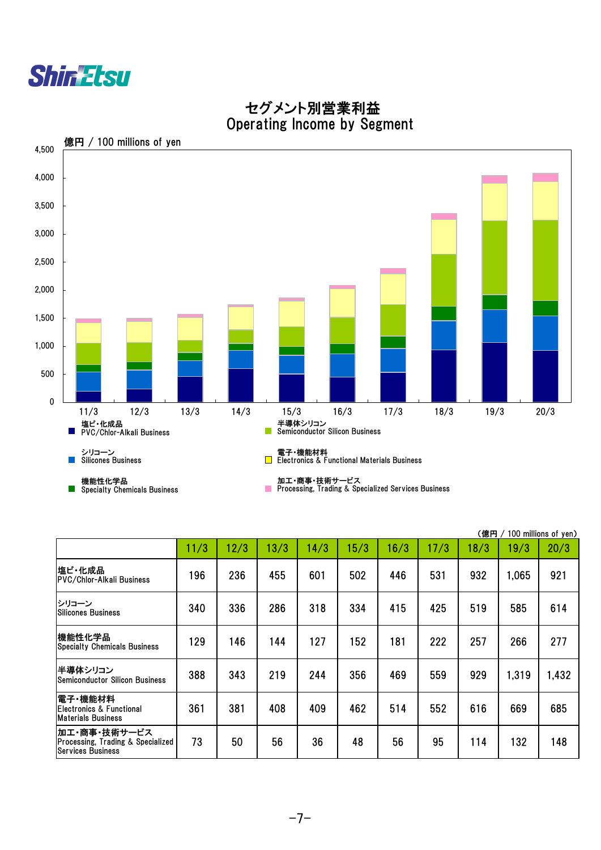|                                                                                          |      |      |      |      |      |      |      | (億円  |       | 100 millions of yen) |
|------------------------------------------------------------------------------------------|------|------|------|------|------|------|------|------|-------|----------------------|
|                                                                                          | 11/3 | 12/3 | 13/3 | 14/3 | 15/3 | 16/3 | 17/3 | 18/3 | 19/3  | 20/3                 |
| 塩ビ・化成品<br>PVC/Chlor-Alkali Business                                                      | 196  | 236  | 455  | 601  | 502  | 446  | 531  | 932  | 1,065 | 921                  |
| シリコーン<br><b>Silicones Business</b>                                                       | 340  | 336  | 286  | 318  | 334  | 415  | 425  | 519  | 585   | 614                  |
| 機能性化学品<br><b>Specialty Chemicals Business</b>                                            | 129  | 146  | 144  | 127  | 152  | 181  | 222  | 257  | 266   | 277                  |
| 半導体シリコン<br><b>Semiconductor Silicon Business</b>                                         | 388  | 343  | 219  | 244  | 356  | 469  | 559  | 929  | 1,319 | 1,432                |
| 電子・機能材料 <br>Electronics & Functional<br><b>Materials Business</b>                        | 361  | 381  | 408  | 409  | 462  | 514  | 552  | 616  | 669   | 685                  |
| 加工・商事・技術サービス<br><b>Processing, Trading &amp; Specialized</b><br><b>Services Business</b> | 73   | 50   | 56   | 36   | 48   | 56   | 95   | 114  | 132   | 148                  |



 セグメント別営業利益 Operating Income by Segment

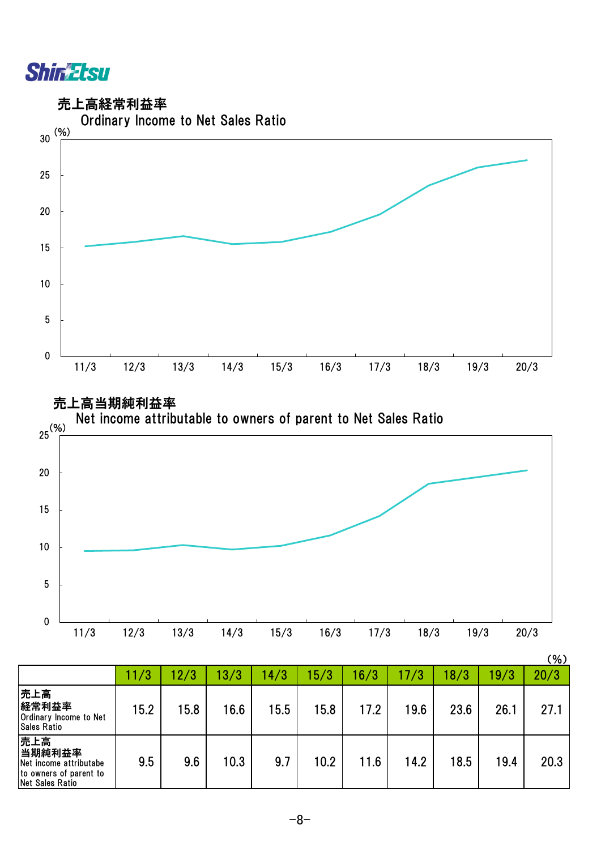

売上高経常利益率





|                                                                                             |      |      |      |      |      |       |      |      |      | <b>、,。</b> |
|---------------------------------------------------------------------------------------------|------|------|------|------|------|-------|------|------|------|------------|
|                                                                                             | 11/3 | 12/3 | 13/3 | 14/3 | 15/3 | 16/3  | 17/3 | 18/3 | 19/3 | 20/3       |
| 売上高<br>経常利益率<br>Ordinary Income to Net<br><b>Sales Ratio</b>                                | 15.2 | 15.8 | 16.6 | 15.5 | 15.8 | 17.2  | 19.6 | 23.6 | 26.1 | 27.1       |
| 売上高<br>当期純利益率<br>Net income attributabe<br>to owners of parent to<br><b>Net Sales Ratio</b> | 9.5  | 9.6  | 10.3 | 9.7  | 10.2 | l 1.6 | 14.2 | 18.5 | 19.4 | 20.3       |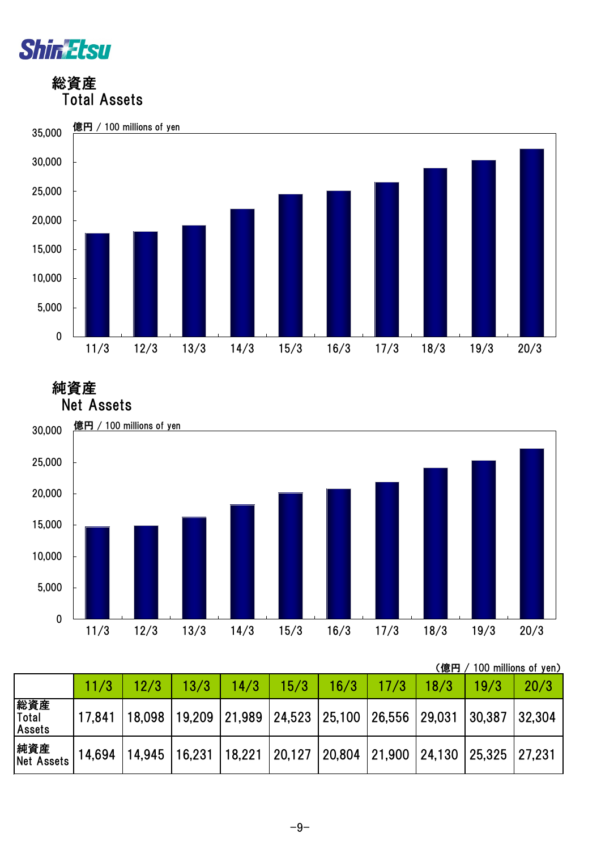

 総資産 Total Assets



純資産



|                                      | 100 millions of yen)<br>(億円 |                 |      |        |                                    |      |      |                                                     |        |        |  |  |  |
|--------------------------------------|-----------------------------|-----------------|------|--------|------------------------------------|------|------|-----------------------------------------------------|--------|--------|--|--|--|
|                                      | 11/3                        | 12/3            | 13/3 | 14/3   | 15/3                               | 16/3 | 17/3 | 18/3                                                | 19/3   | 20/3   |  |  |  |
| 総資産<br><b>Total</b><br><b>Assets</b> | 17,841                      | 18,098   19,209 |      |        | 21,989 24,523 25,100 26,556 29,031 |      |      |                                                     | 30,387 | 32,304 |  |  |  |
| 純資産<br><b>Net Assets</b>             | 14,694                      | 14,945   16,231 |      | 18,221 |                                    |      |      | 20,127   20,804   21,900   24,130   25,325   27,231 |        |        |  |  |  |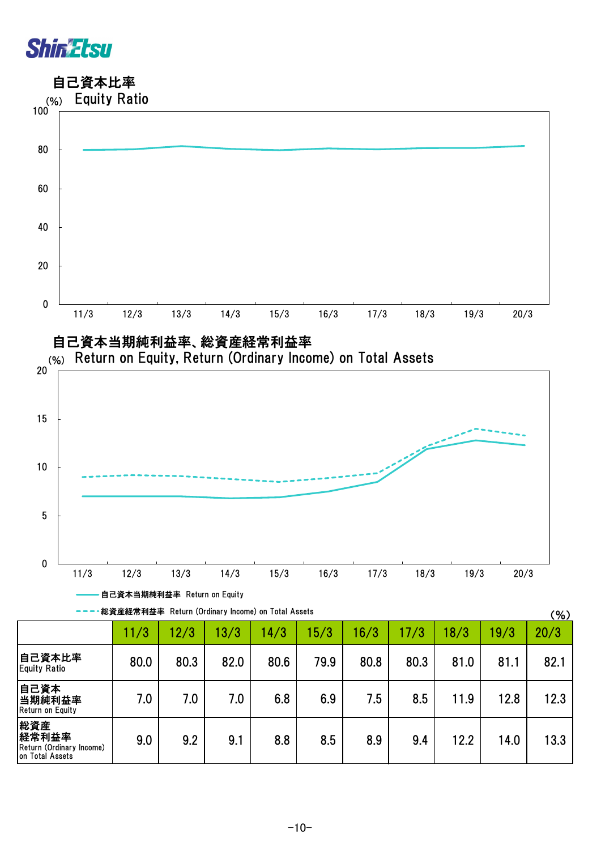

総資産 経常利益率

on Total Assets

Return (Ordinary Income)

自己資本比率



9.0 | 9.2 | 9.1 | 8.8 | 8.5 | 8.9 | 9.4 | 12.2 | 14.0 | 13.3